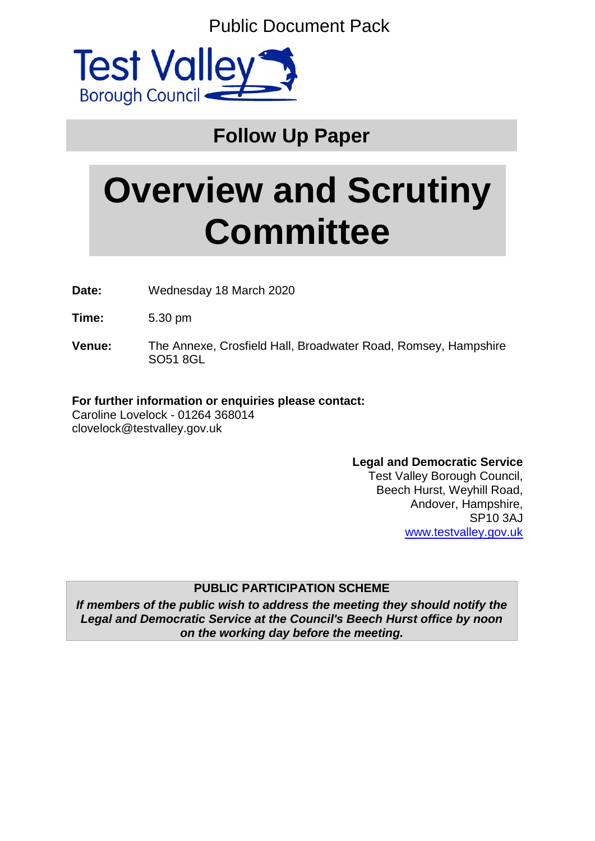Public Document Pack



# **Follow Up Paper**

# **Overview and Scrutiny Committee**

**Date:** Wednesday 18 March 2020

**Time:** 5.30 pm

**Venue:** The Annexe, Crosfield Hall, Broadwater Road, Romsey, Hampshire SO51 8GL

# **For further information or enquiries please contact:**

Caroline Lovelock - 01264 368014 clovelock@testvalley.gov.uk

# **Legal and Democratic Service**

Test Valley Borough Council, Beech Hurst, Weyhill Road, Andover, Hampshire, SP10 3AJ [www.testvalley.gov.uk](http://www.testvalley.gov.uk/)

# **PUBLIC PARTICIPATION SCHEME**

*If members of the public wish to address the meeting they should notify the Legal and Democratic Service at the Council's Beech Hurst office by noon on the working day before the meeting.*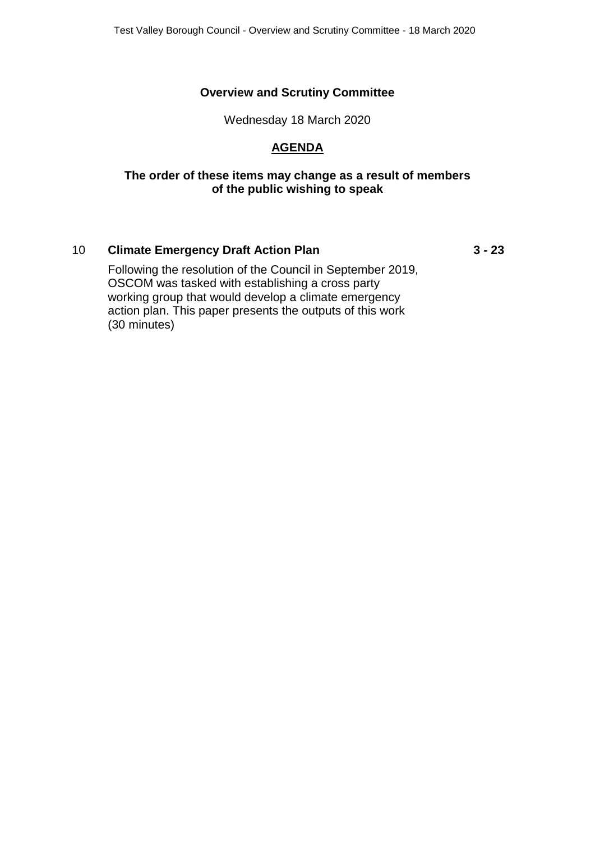# **Overview and Scrutiny Committee**

Wednesday 18 March 2020

# **AGENDA**

#### **The order of these items may change as a result of members of the public wishing to speak**

# 10 **Climate Emergency Draft Action Plan 3 - 23**

Following the resolution of the Council in September 2019, OSCOM was tasked with establishing a cross party working group that would develop a climate emergency action plan. This paper presents the outputs of this work (30 minutes)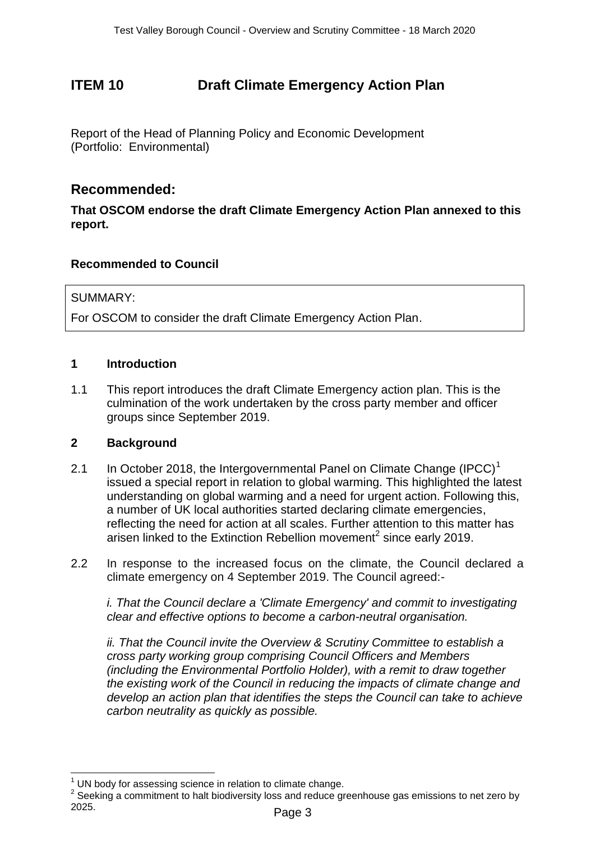# **ITEM 10 Draft Climate Emergency Action Plan**

Report of the Head of Planning Policy and Economic Development (Portfolio: Environmental)

# **Recommended:**

**That OSCOM endorse the draft Climate Emergency Action Plan annexed to this report.**

# **Recommended to Council**

#### SUMMARY:

For OSCOM to consider the draft Climate Emergency Action Plan.

#### **1 Introduction**

1.1 This report introduces the draft Climate Emergency action plan. This is the culmination of the work undertaken by the cross party member and officer groups since September 2019.

#### **2 Background**

 $\overline{a}$ 

- 2.1 In October 2018, the Intergovernmental Panel on Climate Change  $(IPCC)^1$ issued a special report in relation to global warming. This highlighted the latest understanding on global warming and a need for urgent action. Following this, a number of UK local authorities started declaring climate emergencies, reflecting the need for action at all scales. Further attention to this matter has arisen linked to the Extinction Rebellion movement<sup>2</sup> since early 2019.
- 2.2 In response to the increased focus on the climate, the Council declared a climate emergency on 4 September 2019. The Council agreed:-

*i. That the Council declare a 'Climate Emergency' and commit to investigating clear and effective options to become a carbon-neutral organisation.*

*ii. That the Council invite the Overview & Scrutiny Committee to establish a cross party working group comprising Council Officers and Members (including the Environmental Portfolio Holder), with a remit to draw together the existing work of the Council in reducing the impacts of climate change and develop an action plan that identifies the steps the Council can take to achieve carbon neutrality as quickly as possible.*

UN body for assessing science in relation to climate change.

 $2$  Seeking a commitment to halt biodiversity loss and reduce greenhouse gas emissions to net zero by 2025.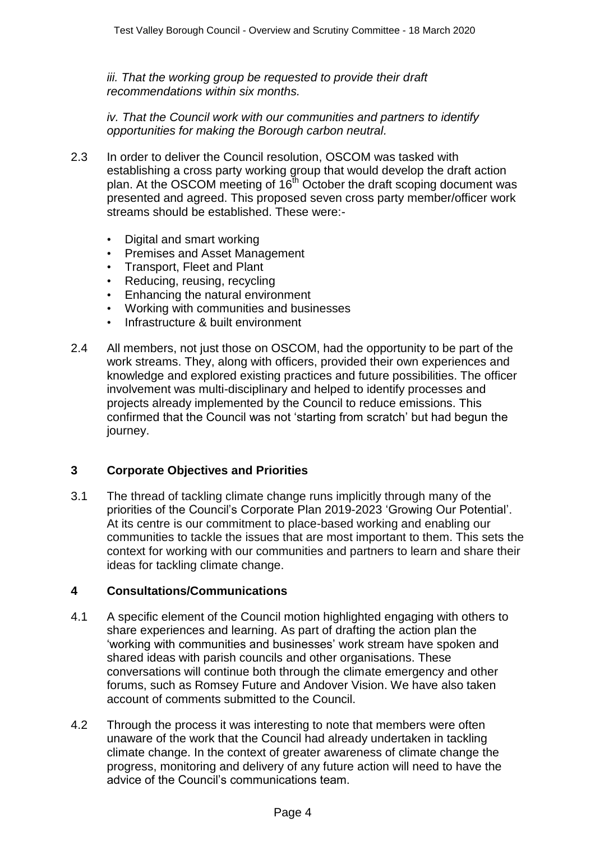*iii. That the working group be requested to provide their draft recommendations within six months.*

*iv. That the Council work with our communities and partners to identify opportunities for making the Borough carbon neutral.*

- 2.3 In order to deliver the Council resolution, OSCOM was tasked with establishing a cross party working group that would develop the draft action plan. At the OSCOM meeting of  $16<sup>th</sup>$  October the draft scoping document was presented and agreed. This proposed seven cross party member/officer work streams should be established. These were:-
	- Digital and smart working
	- Premises and Asset Management
	- Transport, Fleet and Plant
	- Reducing, reusing, recycling
	- Enhancing the natural environment
	- Working with communities and businesses
	- Infrastructure & built environment
- 2.4 All members, not just those on OSCOM, had the opportunity to be part of the work streams. They, along with officers, provided their own experiences and knowledge and explored existing practices and future possibilities. The officer involvement was multi-disciplinary and helped to identify processes and projects already implemented by the Council to reduce emissions. This confirmed that the Council was not 'starting from scratch' but had begun the journey.

# **3 Corporate Objectives and Priorities**

3.1 The thread of tackling climate change runs implicitly through many of the priorities of the Council's Corporate Plan 2019-2023 'Growing Our Potential'. At its centre is our commitment to place-based working and enabling our communities to tackle the issues that are most important to them. This sets the context for working with our communities and partners to learn and share their ideas for tackling climate change.

#### **4 Consultations/Communications**

- 4.1 A specific element of the Council motion highlighted engaging with others to share experiences and learning. As part of drafting the action plan the 'working with communities and businesses' work stream have spoken and shared ideas with parish councils and other organisations. These conversations will continue both through the climate emergency and other forums, such as Romsey Future and Andover Vision. We have also taken account of comments submitted to the Council.
- 4.2 Through the process it was interesting to note that members were often unaware of the work that the Council had already undertaken in tackling climate change. In the context of greater awareness of climate change the progress, monitoring and delivery of any future action will need to have the advice of the Council's communications team.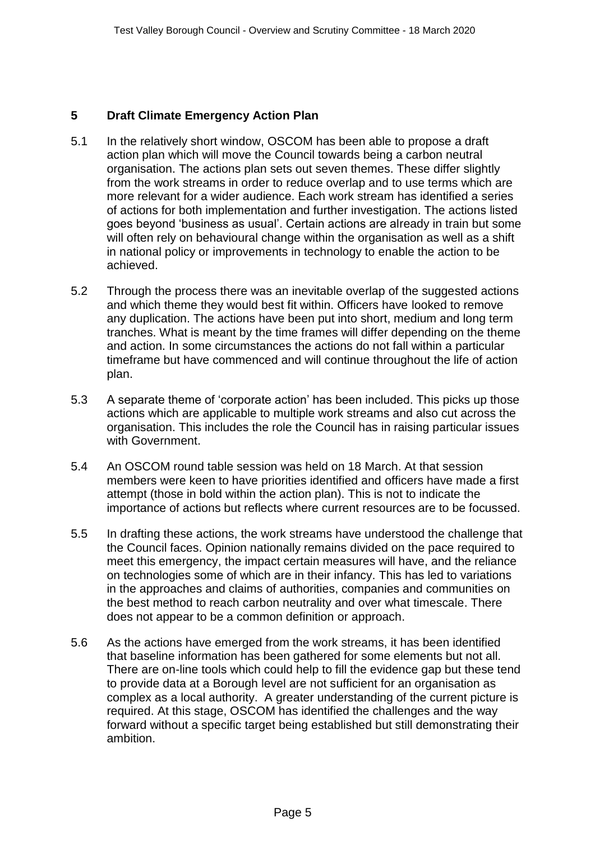# **5 Draft Climate Emergency Action Plan**

- 5.1 In the relatively short window, OSCOM has been able to propose a draft action plan which will move the Council towards being a carbon neutral organisation. The actions plan sets out seven themes. These differ slightly from the work streams in order to reduce overlap and to use terms which are more relevant for a wider audience. Each work stream has identified a series of actions for both implementation and further investigation. The actions listed goes beyond 'business as usual'. Certain actions are already in train but some will often rely on behavioural change within the organisation as well as a shift in national policy or improvements in technology to enable the action to be achieved.
- 5.2 Through the process there was an inevitable overlap of the suggested actions and which theme they would best fit within. Officers have looked to remove any duplication. The actions have been put into short, medium and long term tranches. What is meant by the time frames will differ depending on the theme and action. In some circumstances the actions do not fall within a particular timeframe but have commenced and will continue throughout the life of action plan.
- 5.3 A separate theme of 'corporate action' has been included. This picks up those actions which are applicable to multiple work streams and also cut across the organisation. This includes the role the Council has in raising particular issues with Government.
- 5.4 An OSCOM round table session was held on 18 March. At that session members were keen to have priorities identified and officers have made a first attempt (those in bold within the action plan). This is not to indicate the importance of actions but reflects where current resources are to be focussed.
- 5.5 In drafting these actions, the work streams have understood the challenge that the Council faces. Opinion nationally remains divided on the pace required to meet this emergency, the impact certain measures will have, and the reliance on technologies some of which are in their infancy. This has led to variations in the approaches and claims of authorities, companies and communities on the best method to reach carbon neutrality and over what timescale. There does not appear to be a common definition or approach.
- 5.6 As the actions have emerged from the work streams, it has been identified that baseline information has been gathered for some elements but not all. There are on-line tools which could help to fill the evidence gap but these tend to provide data at a Borough level are not sufficient for an organisation as complex as a local authority. A greater understanding of the current picture is required. At this stage, OSCOM has identified the challenges and the way forward without a specific target being established but still demonstrating their ambition.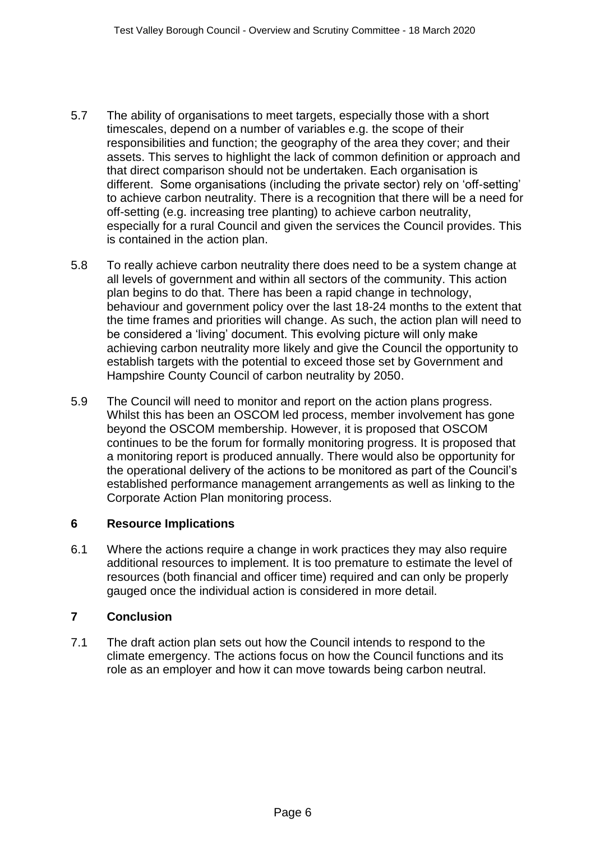- 5.7 The ability of organisations to meet targets, especially those with a short timescales, depend on a number of variables e.g. the scope of their responsibilities and function; the geography of the area they cover; and their assets. This serves to highlight the lack of common definition or approach and that direct comparison should not be undertaken. Each organisation is different. Some organisations (including the private sector) rely on 'off-setting' to achieve carbon neutrality. There is a recognition that there will be a need for off-setting (e.g. increasing tree planting) to achieve carbon neutrality, especially for a rural Council and given the services the Council provides. This is contained in the action plan.
- 5.8 To really achieve carbon neutrality there does need to be a system change at all levels of government and within all sectors of the community. This action plan begins to do that. There has been a rapid change in technology, behaviour and government policy over the last 18-24 months to the extent that the time frames and priorities will change. As such, the action plan will need to be considered a 'living' document. This evolving picture will only make achieving carbon neutrality more likely and give the Council the opportunity to establish targets with the potential to exceed those set by Government and Hampshire County Council of carbon neutrality by 2050.
- 5.9 The Council will need to monitor and report on the action plans progress. Whilst this has been an OSCOM led process, member involvement has gone beyond the OSCOM membership. However, it is proposed that OSCOM continues to be the forum for formally monitoring progress. It is proposed that a monitoring report is produced annually. There would also be opportunity for the operational delivery of the actions to be monitored as part of the Council's established performance management arrangements as well as linking to the Corporate Action Plan monitoring process.

#### **6 Resource Implications**

6.1 Where the actions require a change in work practices they may also require additional resources to implement. It is too premature to estimate the level of resources (both financial and officer time) required and can only be properly gauged once the individual action is considered in more detail.

# **7 Conclusion**

7.1 The draft action plan sets out how the Council intends to respond to the climate emergency. The actions focus on how the Council functions and its role as an employer and how it can move towards being carbon neutral.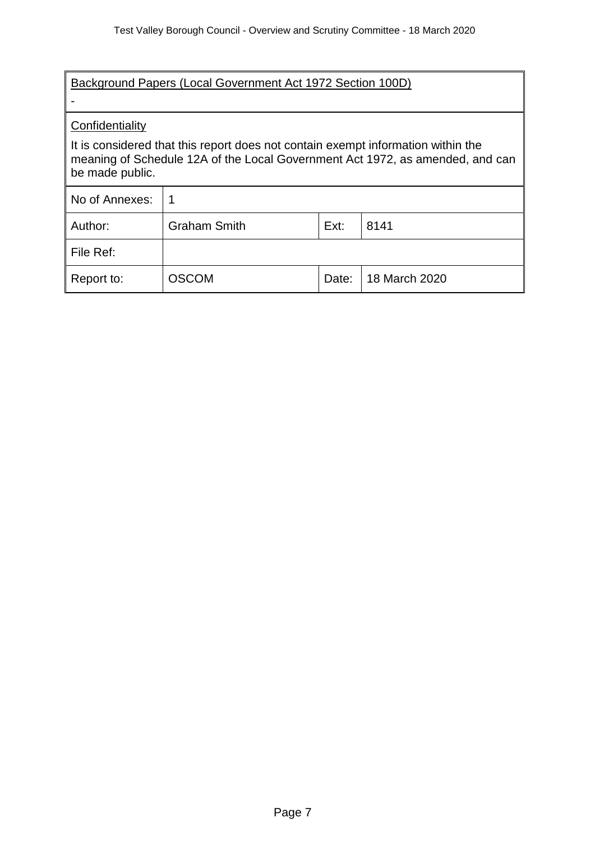| Background Papers (Local Government Act 1972 Section 100D)                                                                                                                           |                                     |       |               |  |
|--------------------------------------------------------------------------------------------------------------------------------------------------------------------------------------|-------------------------------------|-------|---------------|--|
| Confidentiality                                                                                                                                                                      |                                     |       |               |  |
| It is considered that this report does not contain exempt information within the<br>meaning of Schedule 12A of the Local Government Act 1972, as amended, and can<br>be made public. |                                     |       |               |  |
| No of Annexes:                                                                                                                                                                       |                                     |       |               |  |
| Author:                                                                                                                                                                              | <b>Graham Smith</b><br>Ext:<br>8141 |       |               |  |
| File Ref:                                                                                                                                                                            |                                     |       |               |  |
| Report to:                                                                                                                                                                           | <b>OSCOM</b>                        | Date: | 18 March 2020 |  |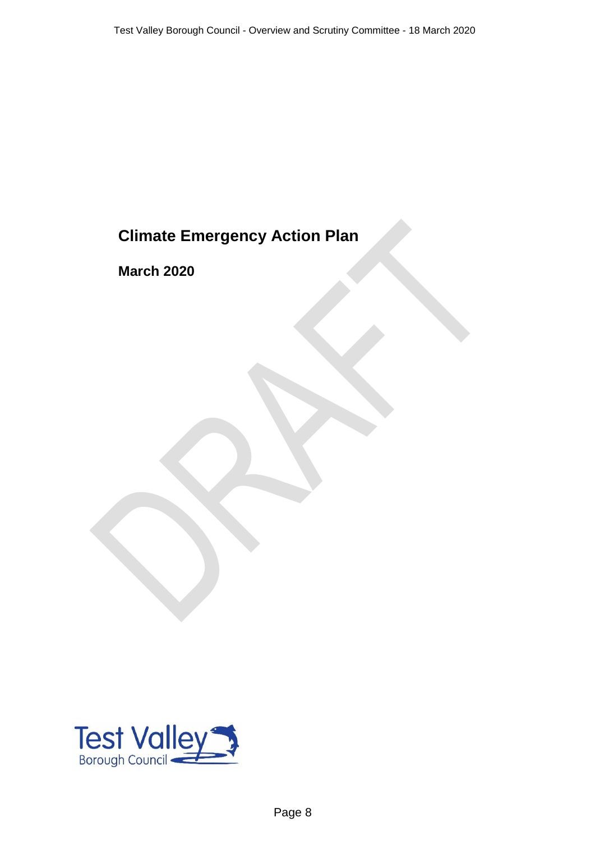# **Climate Emergency Action Plan**

**March 2020**

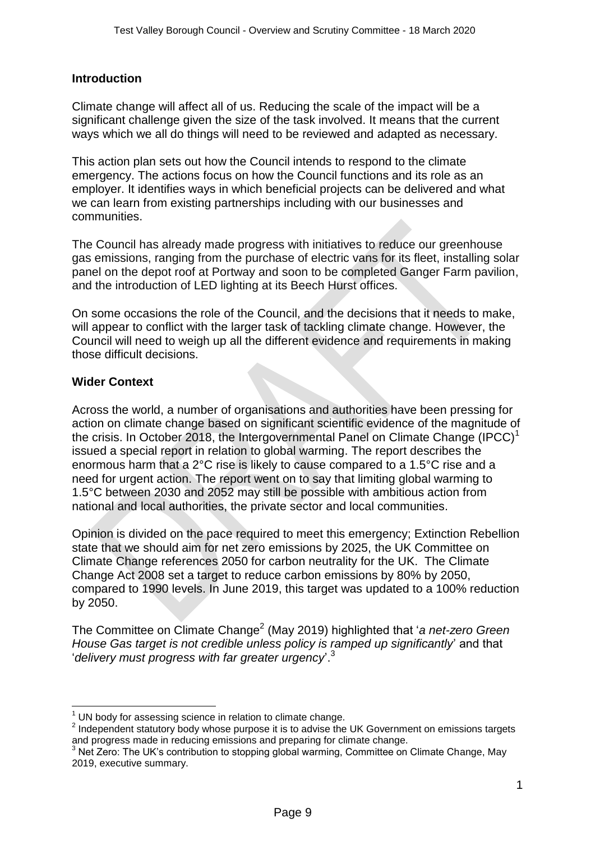#### **Introduction**

Climate change will affect all of us. Reducing the scale of the impact will be a significant challenge given the size of the task involved. It means that the current ways which we all do things will need to be reviewed and adapted as necessary.

This action plan sets out how the Council intends to respond to the climate emergency. The actions focus on how the Council functions and its role as an employer. It identifies ways in which beneficial projects can be delivered and what we can learn from existing partnerships including with our businesses and communities.

The Council has already made progress with initiatives to reduce our greenhouse gas emissions, ranging from the purchase of electric vans for its fleet, installing solar panel on the depot roof at Portway and soon to be completed Ganger Farm pavilion, and the introduction of LED lighting at its Beech Hurst offices.

On some occasions the role of the Council, and the decisions that it needs to make, will appear to conflict with the larger task of tackling climate change. However, the Council will need to weigh up all the different evidence and requirements in making those difficult decisions.

#### **Wider Context**

**.** 

Across the world, a number of organisations and authorities have been pressing for action on climate change based on significant scientific evidence of the magnitude of the crisis. In October 2018, the Intergovernmental Panel on Climate Change (IPCC)<sup>1</sup> issued a special report in relation to global warming. The report describes the enormous harm that a 2°C rise is likely to cause compared to a 1.5°C rise and a need for urgent action. The report went on to say that limiting global warming to 1.5°C between 2030 and 2052 may still be possible with ambitious action from national and local authorities, the private sector and local communities.

Opinion is divided on the pace required to meet this emergency; Extinction Rebellion state that we should aim for net zero emissions by 2025, the UK Committee on Climate Change references 2050 for carbon neutrality for the UK. The Climate Change Act 2008 set a target to reduce carbon emissions by 80% by 2050, compared to 1990 levels. In June 2019, this target was updated to a 100% reduction by 2050.

The Committee on Climate Change<sup>2</sup> (May 2019) highlighted that '*a net-zero Green House Gas target is not credible unless policy is ramped up significantly*' and that '*delivery must progress with far greater urgency*'.<sup>3</sup>

UN body for assessing science in relation to climate change.

 $2$  Independent statutory body whose purpose it is to advise the UK Government on emissions targets and progress made in reducing emissions and preparing for climate change.

and progress made in reddenty concercies are programs for a committee on Climate Change, May 2019, executive summary.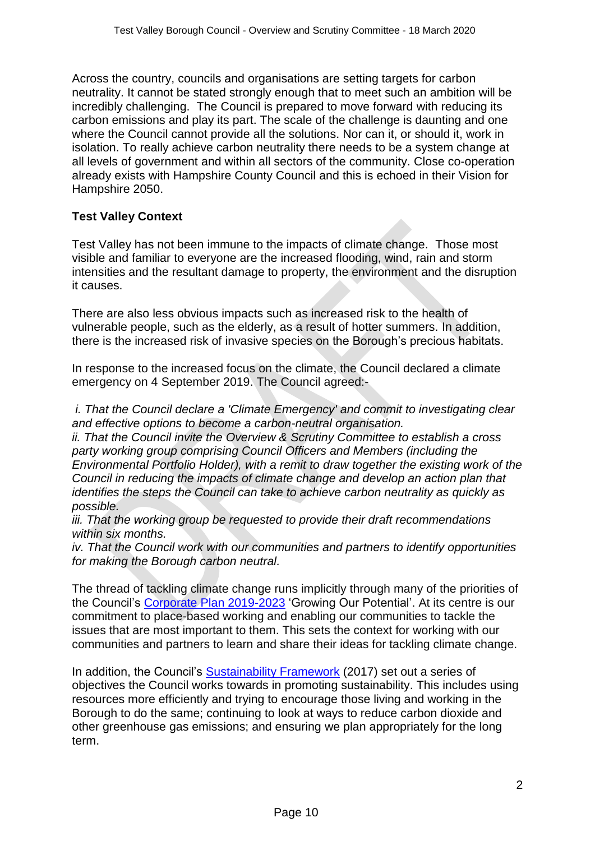Across the country, councils and organisations are setting targets for carbon neutrality. It cannot be stated strongly enough that to meet such an ambition will be incredibly challenging. The Council is prepared to move forward with reducing its carbon emissions and play its part. The scale of the challenge is daunting and one where the Council cannot provide all the solutions. Nor can it, or should it, work in isolation. To really achieve carbon neutrality there needs to be a system change at all levels of government and within all sectors of the community. Close co-operation already exists with Hampshire County Council and this is echoed in their Vision for Hampshire 2050.

# **Test Valley Context**

Test Valley has not been immune to the impacts of climate change. Those most visible and familiar to everyone are the increased flooding, wind, rain and storm intensities and the resultant damage to property, the environment and the disruption it causes.

There are also less obvious impacts such as increased risk to the health of vulnerable people, such as the elderly, as a result of hotter summers. In addition, there is the increased risk of invasive species on the Borough's precious habitats.

In response to the increased focus on the climate, the Council declared a climate emergency on 4 September 2019. The Council agreed:-

*i. That the Council declare a 'Climate Emergency' and commit to investigating clear and effective options to become a carbon-neutral organisation.*

*ii. That the Council invite the Overview & Scrutiny Committee to establish a cross party working group comprising Council Officers and Members (including the Environmental Portfolio Holder), with a remit to draw together the existing work of the Council in reducing the impacts of climate change and develop an action plan that identifies the steps the Council can take to achieve carbon neutrality as quickly as possible.*

*iii. That the working group be requested to provide their draft recommendations within six months.*

*iv. That the Council work with our communities and partners to identify opportunities for making the Borough carbon neutral.*

The thread of tackling climate change runs implicitly through many of the priorities of the Council's [Corporate Plan 2019-2023](https://testvalley.gov.uk/aboutyourcouncil/corporatedirection/corporate-plan-for-2019-to-2023) 'Growing Our Potential'. At its centre is our commitment to place-based working and enabling our communities to tackle the issues that are most important to them. This sets the context for working with our communities and partners to learn and share their ideas for tackling climate change.

In addition, the Council's [Sustainability Framework](https://testvalley.gov.uk/assets/attach/5598/Sustainability%20Framework%20(2017).pdf) (2017) set out a series of objectives the Council works towards in promoting sustainability. This includes using resources more efficiently and trying to encourage those living and working in the Borough to do the same; continuing to look at ways to reduce carbon dioxide and other greenhouse gas emissions; and ensuring we plan appropriately for the long term.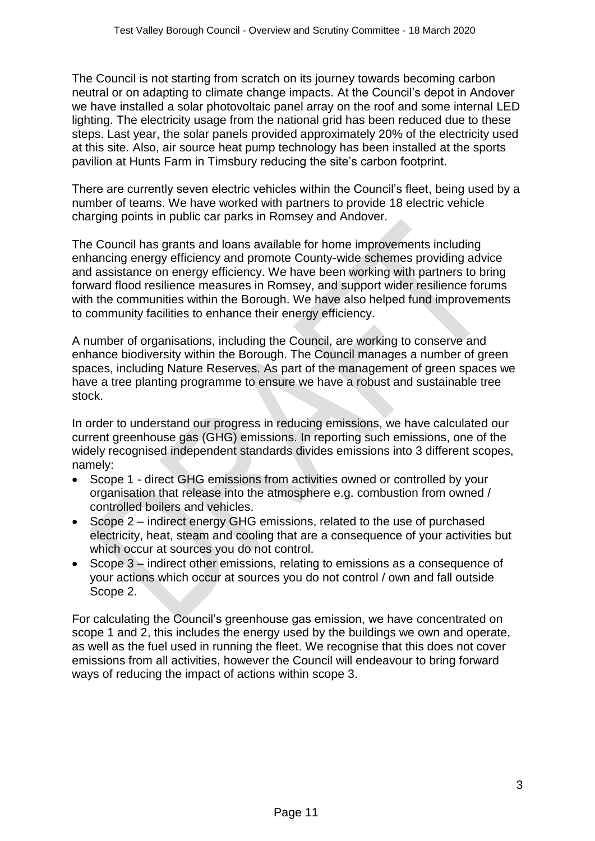The Council is not starting from scratch on its journey towards becoming carbon neutral or on adapting to climate change impacts. At the Council's depot in Andover we have installed a solar photovoltaic panel array on the roof and some internal LED lighting. The electricity usage from the national grid has been reduced due to these steps. Last year, the solar panels provided approximately 20% of the electricity used at this site. Also, air source heat pump technology has been installed at the sports pavilion at Hunts Farm in Timsbury reducing the site's carbon footprint.

There are currently seven electric vehicles within the Council's fleet, being used by a number of teams. We have worked with partners to provide 18 electric vehicle charging points in public car parks in Romsey and Andover.

The Council has grants and loans available for home improvements including enhancing energy efficiency and promote County-wide schemes providing advice and assistance on energy efficiency. We have been working with partners to bring forward flood resilience measures in Romsey, and support wider resilience forums with the communities within the Borough. We have also helped fund improvements to community facilities to enhance their energy efficiency.

A number of organisations, including the Council, are working to conserve and enhance biodiversity within the Borough. The Council manages a number of green spaces, including Nature Reserves. As part of the management of green spaces we have a tree planting programme to ensure we have a robust and sustainable tree stock.

In order to understand our progress in reducing emissions, we have calculated our current greenhouse gas (GHG) emissions. In reporting such emissions, one of the widely recognised independent standards divides emissions into 3 different scopes, namely:

- Scope 1 direct GHG emissions from activities owned or controlled by your organisation that release into the atmosphere e.g. combustion from owned / controlled boilers and vehicles.
- Scope 2 indirect energy GHG emissions, related to the use of purchased electricity, heat, steam and cooling that are a consequence of your activities but which occur at sources you do not control.
- Scope 3 indirect other emissions, relating to emissions as a consequence of your actions which occur at sources you do not control / own and fall outside Scope 2.

For calculating the Council's greenhouse gas emission, we have concentrated on scope 1 and 2, this includes the energy used by the buildings we own and operate, as well as the fuel used in running the fleet. We recognise that this does not cover emissions from all activities, however the Council will endeavour to bring forward ways of reducing the impact of actions within scope 3.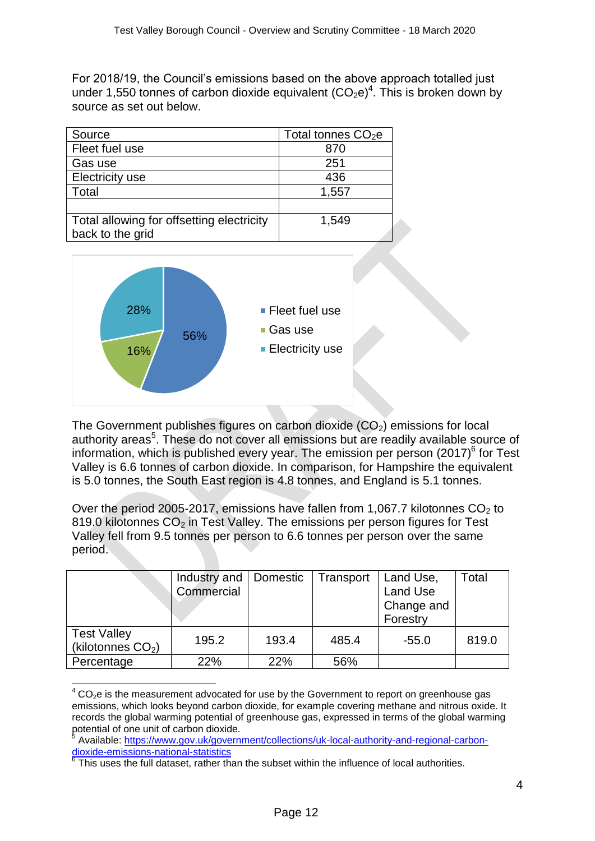For 2018/19, the Council's emissions based on the above approach totalled just under 1,550 tonnes of carbon dioxide equivalent  $(CO_2e)^4$ . This is broken down by source as set out below.

| Source                                    | Total tonnes $CO2e$ |
|-------------------------------------------|---------------------|
| Fleet fuel use                            | 870                 |
| Gas use                                   | 251                 |
| <b>Electricity use</b>                    | 436                 |
| Total                                     | 1,557               |
|                                           |                     |
| Total allowing for offsetting electricity | 1,549               |
| back to the grid                          |                     |



**.** 

The Government publishes figures on carbon dioxide  $(CO<sub>2</sub>)$  emissions for local authority areas<sup>5</sup>. These do not cover all emissions but are readily available source of information, which is published every year. The emission per person  $(2017)^6$  for Test Valley is 6.6 tonnes of carbon dioxide. In comparison, for Hampshire the equivalent is 5.0 tonnes, the South East region is 4.8 tonnes, and England is 5.1 tonnes.

Over the period 2005-2017, emissions have fallen from 1,067.7 kilotonnes  $CO<sub>2</sub>$  to 819.0 kilotonnes  $CO<sub>2</sub>$  in Test Valley. The emissions per person figures for Test Valley fell from 9.5 tonnes per person to 6.6 tonnes per person over the same period.

|                                           | Industry and<br>Commercial | Domestic | Transport | Land Use,<br>Land Use<br>Change and<br>Forestry | Total |
|-------------------------------------------|----------------------------|----------|-----------|-------------------------------------------------|-------|
| <b>Test Valley</b><br>(kilotonnes $CO2$ ) | 195.2                      | 193.4    | 485.4     | $-55.0$                                         | 819.0 |
| Percentage                                | 22%                        | 22%      | 56%       |                                                 |       |

 $4$  CO<sub>2</sub>e is the measurement advocated for use by the Government to report on greenhouse gas emissions, which looks beyond carbon dioxide, for example covering methane and nitrous oxide. It records the global warming potential of greenhouse gas, expressed in terms of the global warming potential of one unit of carbon dioxide.<br>
<sup>5</sup> Available: https://www.gov.uk/govern

Available: [https://www.gov.uk/government/collections/uk-local-authority-and-regional-carbon](https://www.gov.uk/government/collections/uk-local-authority-and-regional-carbon-dioxide-emissions-national-statistics)[dioxide-emissions-national-statistics](https://www.gov.uk/government/collections/uk-local-authority-and-regional-carbon-dioxide-emissions-national-statistics)<br><sup>6</sup> Thie uses the full deteast, rather th

This uses the full dataset, rather than the subset within the influence of local authorities.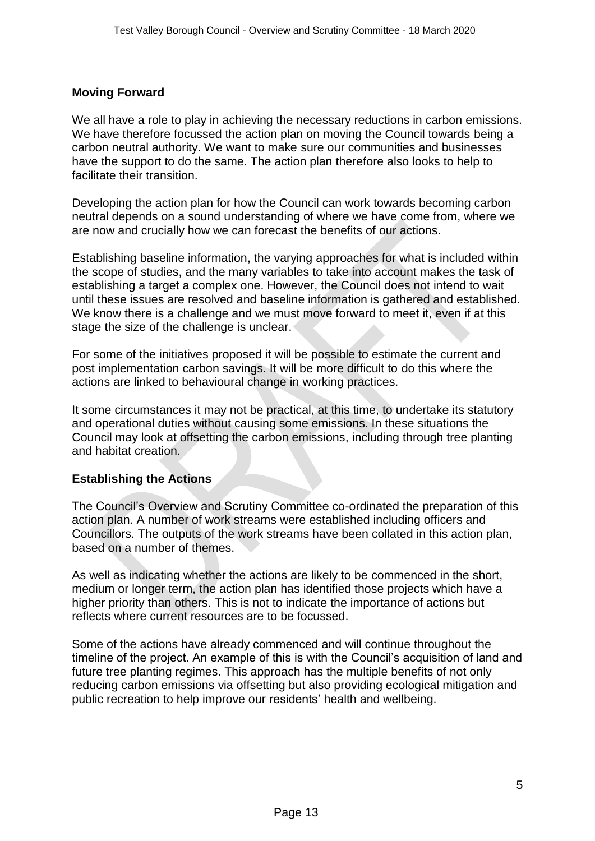# **Moving Forward**

We all have a role to play in achieving the necessary reductions in carbon emissions. We have therefore focussed the action plan on moving the Council towards being a carbon neutral authority. We want to make sure our communities and businesses have the support to do the same. The action plan therefore also looks to help to facilitate their transition.

Developing the action plan for how the Council can work towards becoming carbon neutral depends on a sound understanding of where we have come from, where we are now and crucially how we can forecast the benefits of our actions.

Establishing baseline information, the varying approaches for what is included within the scope of studies, and the many variables to take into account makes the task of establishing a target a complex one. However, the Council does not intend to wait until these issues are resolved and baseline information is gathered and established. We know there is a challenge and we must move forward to meet it, even if at this stage the size of the challenge is unclear.

For some of the initiatives proposed it will be possible to estimate the current and post implementation carbon savings. It will be more difficult to do this where the actions are linked to behavioural change in working practices.

It some circumstances it may not be practical, at this time, to undertake its statutory and operational duties without causing some emissions. In these situations the Council may look at offsetting the carbon emissions, including through tree planting and habitat creation.

#### **Establishing the Actions**

The Council's Overview and Scrutiny Committee co-ordinated the preparation of this action plan. A number of work streams were established including officers and Councillors. The outputs of the work streams have been collated in this action plan, based on a number of themes.

As well as indicating whether the actions are likely to be commenced in the short, medium or longer term, the action plan has identified those projects which have a higher priority than others. This is not to indicate the importance of actions but reflects where current resources are to be focussed.

Some of the actions have already commenced and will continue throughout the timeline of the project. An example of this is with the Council's acquisition of land and future tree planting regimes. This approach has the multiple benefits of not only reducing carbon emissions via offsetting but also providing ecological mitigation and public recreation to help improve our residents' health and wellbeing.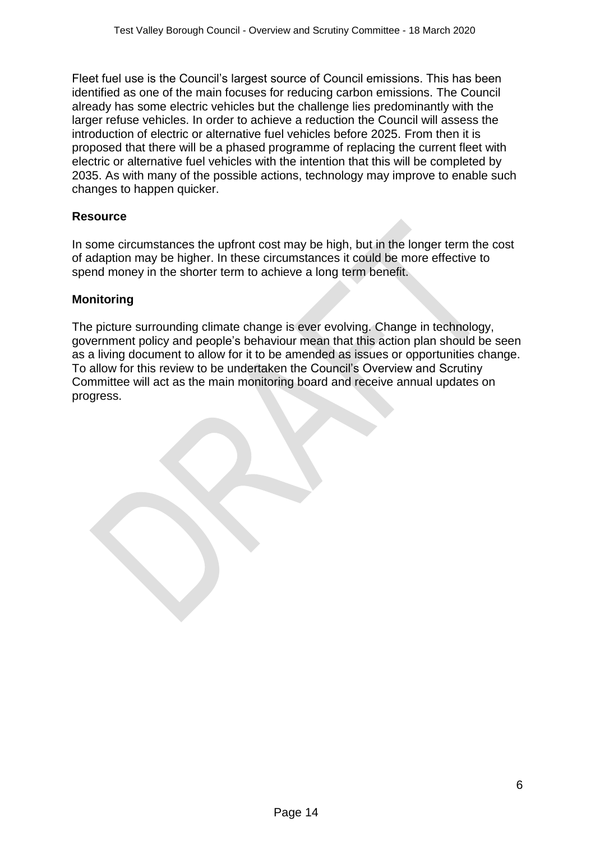Fleet fuel use is the Council's largest source of Council emissions. This has been identified as one of the main focuses for reducing carbon emissions. The Council already has some electric vehicles but the challenge lies predominantly with the larger refuse vehicles. In order to achieve a reduction the Council will assess the introduction of electric or alternative fuel vehicles before 2025. From then it is proposed that there will be a phased programme of replacing the current fleet with electric or alternative fuel vehicles with the intention that this will be completed by 2035. As with many of the possible actions, technology may improve to enable such changes to happen quicker.

# **Resource**

In some circumstances the upfront cost may be high, but in the longer term the cost of adaption may be higher. In these circumstances it could be more effective to spend money in the shorter term to achieve a long term benefit.

#### **Monitoring**

The picture surrounding climate change is ever evolving. Change in technology, government policy and people's behaviour mean that this action plan should be seen as a living document to allow for it to be amended as issues or opportunities change. To allow for this review to be undertaken the Council's Overview and Scrutiny Committee will act as the main monitoring board and receive annual updates on progress.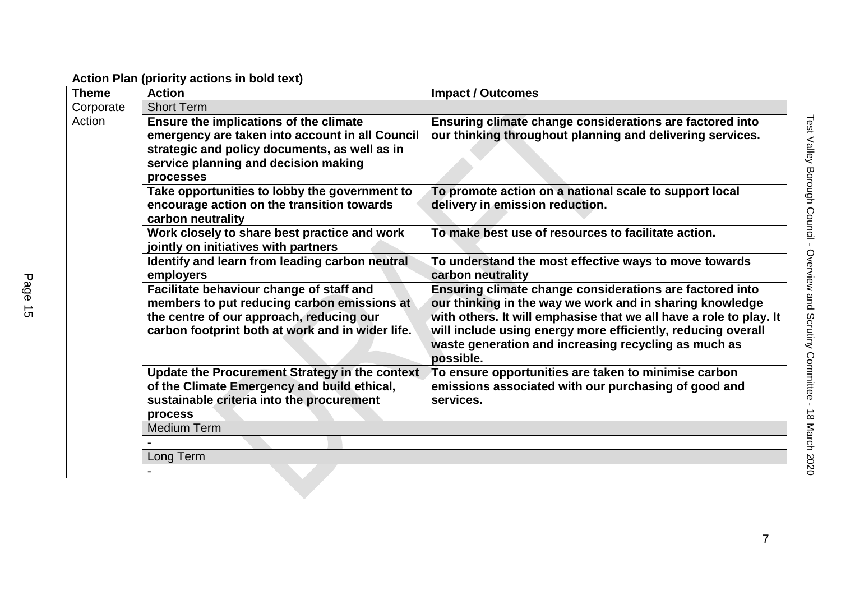| <b>Theme</b> | <b>Action</b>                                                                                                                                                                                   | <b>Impact / Outcomes</b>                                                                                                                                                                                                                                                                                                        |
|--------------|-------------------------------------------------------------------------------------------------------------------------------------------------------------------------------------------------|---------------------------------------------------------------------------------------------------------------------------------------------------------------------------------------------------------------------------------------------------------------------------------------------------------------------------------|
| Corporate    | <b>Short Term</b>                                                                                                                                                                               |                                                                                                                                                                                                                                                                                                                                 |
| Action       | Ensure the implications of the climate<br>emergency are taken into account in all Council<br>strategic and policy documents, as well as in<br>service planning and decision making<br>processes | Ensuring climate change considerations are factored into<br>our thinking throughout planning and delivering services.                                                                                                                                                                                                           |
|              | Take opportunities to lobby the government to<br>encourage action on the transition towards<br>carbon neutrality                                                                                | To promote action on a national scale to support local<br>delivery in emission reduction.                                                                                                                                                                                                                                       |
|              | Work closely to share best practice and work<br>jointly on initiatives with partners                                                                                                            | To make best use of resources to facilitate action.                                                                                                                                                                                                                                                                             |
|              | Identify and learn from leading carbon neutral<br>employers                                                                                                                                     | To understand the most effective ways to move towards<br>carbon neutrality                                                                                                                                                                                                                                                      |
|              | Facilitate behaviour change of staff and<br>members to put reducing carbon emissions at<br>the centre of our approach, reducing our<br>carbon footprint both at work and in wider life.         | Ensuring climate change considerations are factored into<br>our thinking in the way we work and in sharing knowledge<br>with others. It will emphasise that we all have a role to play. It<br>will include using energy more efficiently, reducing overall<br>waste generation and increasing recycling as much as<br>possible. |
|              | Update the Procurement Strategy in the context<br>of the Climate Emergency and build ethical,<br>sustainable criteria into the procurement<br>process                                           | To ensure opportunities are taken to minimise carbon<br>emissions associated with our purchasing of good and<br>services.                                                                                                                                                                                                       |
|              | <b>Medium Term</b>                                                                                                                                                                              |                                                                                                                                                                                                                                                                                                                                 |
|              |                                                                                                                                                                                                 |                                                                                                                                                                                                                                                                                                                                 |
|              | Long Term                                                                                                                                                                                       |                                                                                                                                                                                                                                                                                                                                 |

**Action Plan (priority actions in bold text)**

-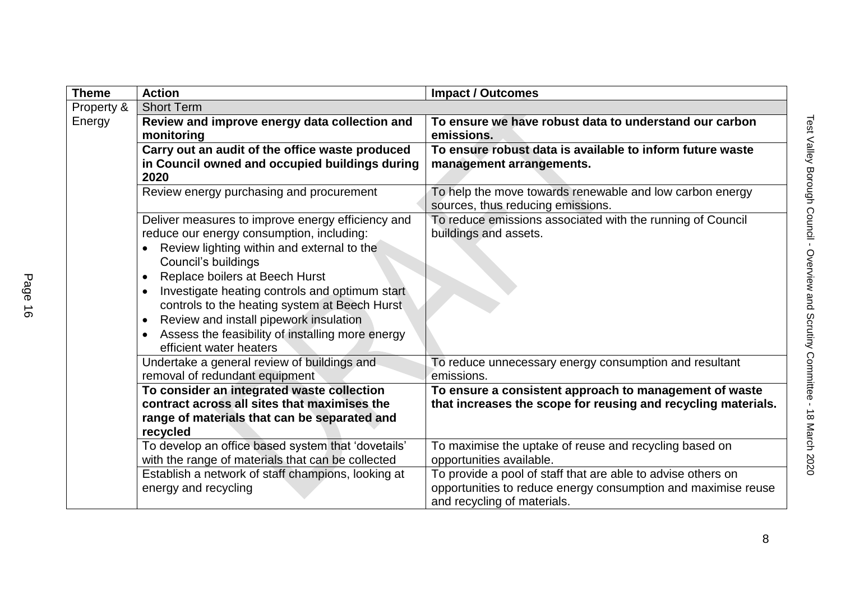| <b>Theme</b> | <b>Action</b>                                                                                                                                                                                                                                                                                                                                                                                                                                                            | <b>Impact / Outcomes</b>                                                                                                                                     |
|--------------|--------------------------------------------------------------------------------------------------------------------------------------------------------------------------------------------------------------------------------------------------------------------------------------------------------------------------------------------------------------------------------------------------------------------------------------------------------------------------|--------------------------------------------------------------------------------------------------------------------------------------------------------------|
| Property &   | <b>Short Term</b>                                                                                                                                                                                                                                                                                                                                                                                                                                                        |                                                                                                                                                              |
| Energy       | Review and improve energy data collection and<br>monitoring                                                                                                                                                                                                                                                                                                                                                                                                              | To ensure we have robust data to understand our carbon<br>emissions.                                                                                         |
|              | Carry out an audit of the office waste produced<br>in Council owned and occupied buildings during<br>2020                                                                                                                                                                                                                                                                                                                                                                | To ensure robust data is available to inform future waste<br>management arrangements.                                                                        |
|              | Review energy purchasing and procurement                                                                                                                                                                                                                                                                                                                                                                                                                                 | To help the move towards renewable and low carbon energy<br>sources, thus reducing emissions.                                                                |
|              | Deliver measures to improve energy efficiency and<br>reduce our energy consumption, including:<br>Review lighting within and external to the<br>Council's buildings<br>Replace boilers at Beech Hurst<br>$\bullet$<br>Investigate heating controls and optimum start<br>$\bullet$<br>controls to the heating system at Beech Hurst<br>Review and install pipework insulation<br>$\bullet$<br>Assess the feasibility of installing more energy<br>efficient water heaters | To reduce emissions associated with the running of Council<br>buildings and assets.                                                                          |
|              | Undertake a general review of buildings and<br>removal of redundant equipment                                                                                                                                                                                                                                                                                                                                                                                            | To reduce unnecessary energy consumption and resultant<br>emissions.                                                                                         |
|              | To consider an integrated waste collection<br>contract across all sites that maximises the<br>range of materials that can be separated and<br>recycled                                                                                                                                                                                                                                                                                                                   | To ensure a consistent approach to management of waste<br>that increases the scope for reusing and recycling materials.                                      |
|              | To develop an office based system that 'dovetails'<br>with the range of materials that can be collected                                                                                                                                                                                                                                                                                                                                                                  | To maximise the uptake of reuse and recycling based on<br>opportunities available.                                                                           |
|              | Establish a network of staff champions, looking at<br>energy and recycling                                                                                                                                                                                                                                                                                                                                                                                               | To provide a pool of staff that are able to advise others on<br>opportunities to reduce energy consumption and maximise reuse<br>and recycling of materials. |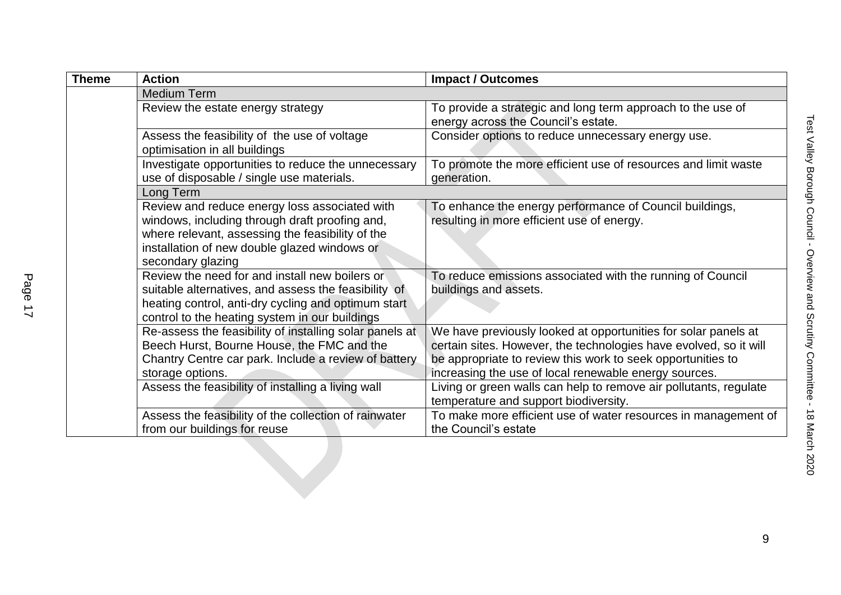| <b>Theme</b> | <b>Action</b>                                                                                                                                                                                                            | <b>Impact / Outcomes</b>                                                                                                                                                                                                                                    |
|--------------|--------------------------------------------------------------------------------------------------------------------------------------------------------------------------------------------------------------------------|-------------------------------------------------------------------------------------------------------------------------------------------------------------------------------------------------------------------------------------------------------------|
|              | <b>Medium Term</b>                                                                                                                                                                                                       |                                                                                                                                                                                                                                                             |
|              | Review the estate energy strategy                                                                                                                                                                                        | To provide a strategic and long term approach to the use of<br>energy across the Council's estate.                                                                                                                                                          |
|              | Assess the feasibility of the use of voltage<br>optimisation in all buildings                                                                                                                                            | Consider options to reduce unnecessary energy use.                                                                                                                                                                                                          |
|              | Investigate opportunities to reduce the unnecessary<br>use of disposable / single use materials.                                                                                                                         | To promote the more efficient use of resources and limit waste<br>generation.                                                                                                                                                                               |
|              | Long Term                                                                                                                                                                                                                |                                                                                                                                                                                                                                                             |
|              | Review and reduce energy loss associated with<br>windows, including through draft proofing and,<br>where relevant, assessing the feasibility of the<br>installation of new double glazed windows or<br>secondary glazing | To enhance the energy performance of Council buildings,<br>resulting in more efficient use of energy.                                                                                                                                                       |
|              | Review the need for and install new boilers or<br>suitable alternatives, and assess the feasibility of<br>heating control, anti-dry cycling and optimum start<br>control to the heating system in our buildings          | To reduce emissions associated with the running of Council<br>buildings and assets.                                                                                                                                                                         |
|              | Re-assess the feasibility of installing solar panels at<br>Beech Hurst, Bourne House, the FMC and the<br>Chantry Centre car park. Include a review of battery<br>storage options.                                        | We have previously looked at opportunities for solar panels at<br>certain sites. However, the technologies have evolved, so it will<br>be appropriate to review this work to seek opportunities to<br>increasing the use of local renewable energy sources. |
|              | Assess the feasibility of installing a living wall                                                                                                                                                                       | Living or green walls can help to remove air pollutants, regulate<br>temperature and support biodiversity.                                                                                                                                                  |
|              | Assess the feasibility of the collection of rainwater<br>from our buildings for reuse                                                                                                                                    | To make more efficient use of water resources in management of<br>the Council's estate                                                                                                                                                                      |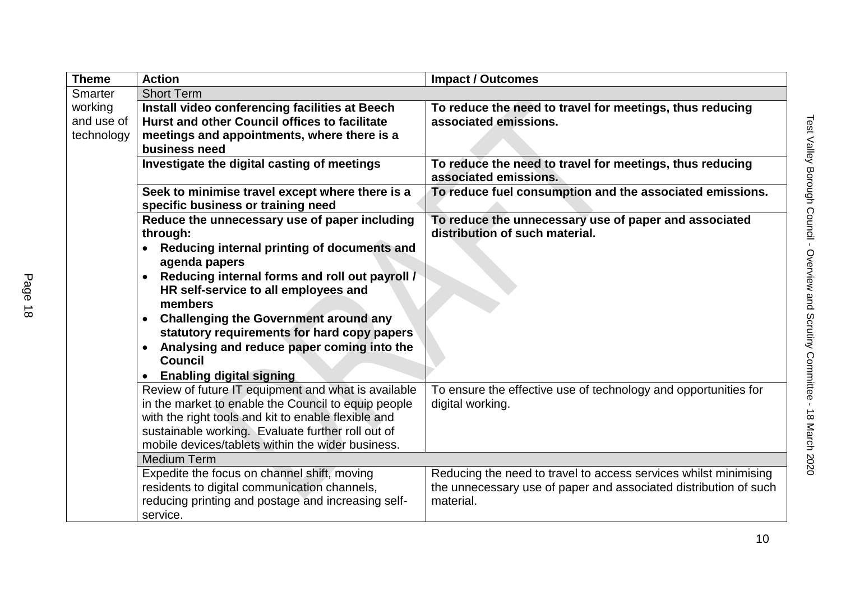| <b>Theme</b>   | <b>Action</b>                                                                                                  | <b>Impact / Outcomes</b>                                                                |
|----------------|----------------------------------------------------------------------------------------------------------------|-----------------------------------------------------------------------------------------|
| <b>Smarter</b> | <b>Short Term</b>                                                                                              |                                                                                         |
| working        | Install video conferencing facilities at Beech                                                                 | To reduce the need to travel for meetings, thus reducing                                |
| and use of     | Hurst and other Council offices to facilitate                                                                  | associated emissions.                                                                   |
| technology     | meetings and appointments, where there is a                                                                    |                                                                                         |
|                | business need                                                                                                  |                                                                                         |
|                | Investigate the digital casting of meetings                                                                    | To reduce the need to travel for meetings, thus reducing<br>associated emissions.       |
|                | Seek to minimise travel except where there is a                                                                | To reduce fuel consumption and the associated emissions.                                |
|                | specific business or training need                                                                             |                                                                                         |
|                | Reduce the unnecessary use of paper including<br>through:                                                      | To reduce the unnecessary use of paper and associated<br>distribution of such material. |
|                | Reducing internal printing of documents and<br>$\bullet$<br>agenda papers                                      |                                                                                         |
|                | Reducing internal forms and roll out payroll /<br>$\bullet$<br>HR self-service to all employees and<br>members |                                                                                         |
|                | <b>Challenging the Government around any</b><br>$\bullet$<br>statutory requirements for hard copy papers       |                                                                                         |
|                | Analysing and reduce paper coming into the<br>$\bullet$<br><b>Council</b>                                      |                                                                                         |
|                | <b>Enabling digital signing</b><br>$\bullet$                                                                   |                                                                                         |
|                | Review of future IT equipment and what is available                                                            | To ensure the effective use of technology and opportunities for                         |
|                | in the market to enable the Council to equip people                                                            | digital working.                                                                        |
|                | with the right tools and kit to enable flexible and                                                            |                                                                                         |
|                | sustainable working. Evaluate further roll out of                                                              |                                                                                         |
|                | mobile devices/tablets within the wider business.                                                              |                                                                                         |
|                | <b>Medium Term</b>                                                                                             |                                                                                         |
|                | Expedite the focus on channel shift, moving                                                                    | Reducing the need to travel to access services whilst minimising                        |
|                | residents to digital communication channels,                                                                   | the unnecessary use of paper and associated distribution of such                        |
|                | reducing printing and postage and increasing self-                                                             | material.                                                                               |
|                | service.                                                                                                       |                                                                                         |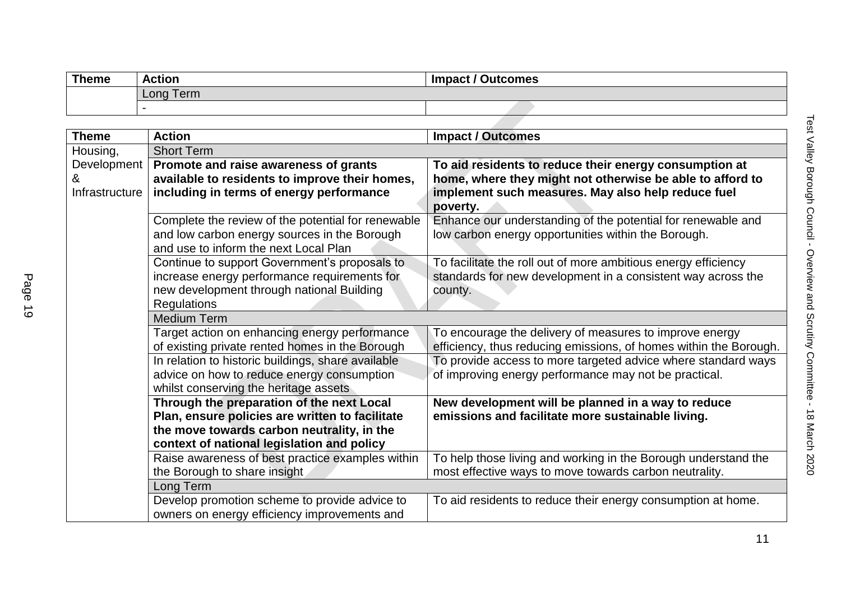| <b>Theme</b> | <b>Action</b> | <b>Impact / Outcomes</b> |
|--------------|---------------|--------------------------|
|              | Long Term     |                          |
|              |               |                          |

| <b>Theme</b>        | <b>Action</b>                                                                                                                                                                            | <b>Impact / Outcomes</b>                                                                                                                                                              |
|---------------------|------------------------------------------------------------------------------------------------------------------------------------------------------------------------------------------|---------------------------------------------------------------------------------------------------------------------------------------------------------------------------------------|
| Housing,            | <b>Short Term</b>                                                                                                                                                                        |                                                                                                                                                                                       |
| &<br>Infrastructure | Development   Promote and raise awareness of grants<br>available to residents to improve their homes,<br>including in terms of energy performance                                        | To aid residents to reduce their energy consumption at<br>home, where they might not otherwise be able to afford to<br>implement such measures. May also help reduce fuel<br>poverty. |
|                     | Complete the review of the potential for renewable<br>and low carbon energy sources in the Borough<br>and use to inform the next Local Plan                                              | Enhance our understanding of the potential for renewable and<br>low carbon energy opportunities within the Borough.                                                                   |
|                     | Continue to support Government's proposals to<br>increase energy performance requirements for<br>new development through national Building<br><b>Regulations</b>                         | To facilitate the roll out of more ambitious energy efficiency<br>standards for new development in a consistent way across the<br>county.                                             |
|                     | <b>Medium Term</b>                                                                                                                                                                       |                                                                                                                                                                                       |
|                     | Target action on enhancing energy performance<br>of existing private rented homes in the Borough                                                                                         | To encourage the delivery of measures to improve energy<br>efficiency, thus reducing emissions, of homes within the Borough.                                                          |
|                     | In relation to historic buildings, share available<br>advice on how to reduce energy consumption<br>whilst conserving the heritage assets                                                | To provide access to more targeted advice where standard ways<br>of improving energy performance may not be practical.                                                                |
|                     | Through the preparation of the next Local<br>Plan, ensure policies are written to facilitate<br>the move towards carbon neutrality, in the<br>context of national legislation and policy | New development will be planned in a way to reduce<br>emissions and facilitate more sustainable living.                                                                               |
|                     | Raise awareness of best practice examples within<br>the Borough to share insight                                                                                                         | To help those living and working in the Borough understand the<br>most effective ways to move towards carbon neutrality.                                                              |
|                     | Long Term<br>Develop promotion scheme to provide advice to<br>owners on energy efficiency improvements and                                                                               | To aid residents to reduce their energy consumption at home.                                                                                                                          |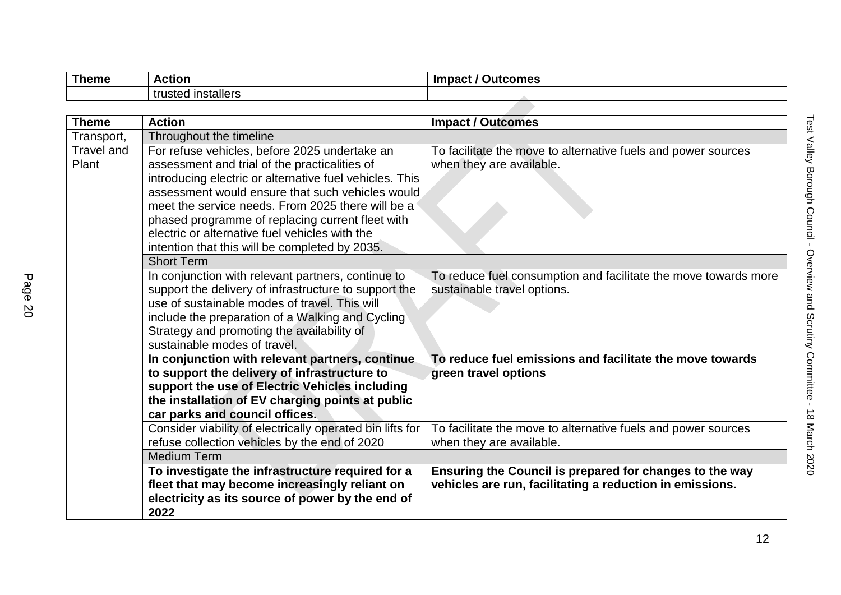| Theme | <b>Action</b>                              | -Imnaet<br><b>Dutcomes</b> |
|-------|--------------------------------------------|----------------------------|
|       | l installers<br>$t$ ructod.<br>แน่งเ<br>cu |                            |
|       |                                            |                            |

| <b>Theme</b>               | <b>Action</b>                                                                                                                                                                                                                                                                                                                                                                                                              | <b>Impact / Outcomes</b>                                                                                            |
|----------------------------|----------------------------------------------------------------------------------------------------------------------------------------------------------------------------------------------------------------------------------------------------------------------------------------------------------------------------------------------------------------------------------------------------------------------------|---------------------------------------------------------------------------------------------------------------------|
| Transport,                 | Throughout the timeline                                                                                                                                                                                                                                                                                                                                                                                                    |                                                                                                                     |
| <b>Travel and</b><br>Plant | For refuse vehicles, before 2025 undertake an<br>assessment and trial of the practicalities of<br>introducing electric or alternative fuel vehicles. This<br>assessment would ensure that such vehicles would<br>meet the service needs. From 2025 there will be a<br>phased programme of replacing current fleet with<br>electric or alternative fuel vehicles with the<br>intention that this will be completed by 2035. | To facilitate the move to alternative fuels and power sources<br>when they are available.                           |
|                            | <b>Short Term</b>                                                                                                                                                                                                                                                                                                                                                                                                          |                                                                                                                     |
|                            | In conjunction with relevant partners, continue to<br>support the delivery of infrastructure to support the<br>use of sustainable modes of travel. This will<br>include the preparation of a Walking and Cycling<br>Strategy and promoting the availability of<br>sustainable modes of travel.                                                                                                                             | To reduce fuel consumption and facilitate the move towards more<br>sustainable travel options.                      |
|                            | In conjunction with relevant partners, continue<br>to support the delivery of infrastructure to<br>support the use of Electric Vehicles including<br>the installation of EV charging points at public<br>car parks and council offices.                                                                                                                                                                                    | To reduce fuel emissions and facilitate the move towards<br>green travel options                                    |
|                            | Consider viability of electrically operated bin lifts for<br>refuse collection vehicles by the end of 2020                                                                                                                                                                                                                                                                                                                 | To facilitate the move to alternative fuels and power sources<br>when they are available.                           |
|                            | <b>Medium Term</b>                                                                                                                                                                                                                                                                                                                                                                                                         |                                                                                                                     |
|                            | To investigate the infrastructure required for a<br>fleet that may become increasingly reliant on<br>electricity as its source of power by the end of<br>2022                                                                                                                                                                                                                                                              | Ensuring the Council is prepared for changes to the way<br>vehicles are run, facilitating a reduction in emissions. |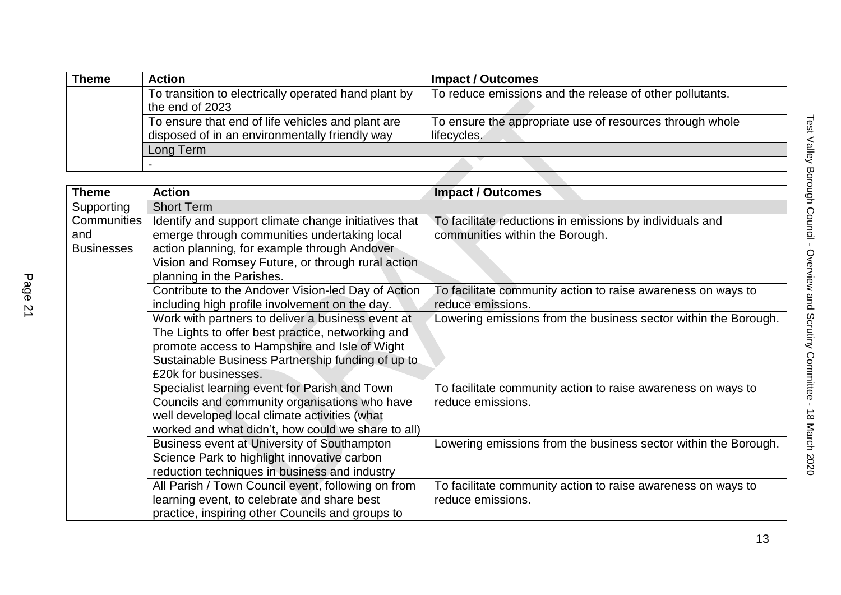| <b>Theme</b> | <b>Action</b>                                        | <b>Impact / Outcomes</b>                                 |
|--------------|------------------------------------------------------|----------------------------------------------------------|
|              | To transition to electrically operated hand plant by | To reduce emissions and the release of other pollutants. |
|              | the end of 2023                                      |                                                          |
|              | To ensure that end of life vehicles and plant are    | To ensure the appropriate use of resources through whole |
|              | disposed of in an environmentally friendly way       | lifecycles.                                              |
|              | Long Term                                            |                                                          |
|              |                                                      |                                                          |

|                   | To ensure that end of life vehicles and plant are<br>disposed of in an environmentally friendly way | To ensure the appropriate use of resources through whole<br>lifecycles. |  |
|-------------------|-----------------------------------------------------------------------------------------------------|-------------------------------------------------------------------------|--|
|                   | Long Term                                                                                           |                                                                         |  |
|                   |                                                                                                     |                                                                         |  |
|                   |                                                                                                     |                                                                         |  |
| <b>Theme</b>      | <b>Action</b>                                                                                       | <b>Impact / Outcomes</b>                                                |  |
| Supporting        | <b>Short Term</b>                                                                                   |                                                                         |  |
| Communities       | Identify and support climate change initiatives that                                                | To facilitate reductions in emissions by individuals and                |  |
| and               | emerge through communities undertaking local                                                        | communities within the Borough.                                         |  |
| <b>Businesses</b> | action planning, for example through Andover                                                        |                                                                         |  |
|                   | Vision and Romsey Future, or through rural action                                                   |                                                                         |  |
|                   | planning in the Parishes.                                                                           |                                                                         |  |
|                   | Contribute to the Andover Vision-led Day of Action                                                  | To facilitate community action to raise awareness on ways to            |  |
|                   | including high profile involvement on the day.                                                      | reduce emissions.                                                       |  |
|                   | Work with partners to deliver a business event at                                                   | Lowering emissions from the business sector within the Borough.         |  |
|                   | The Lights to offer best practice, networking and                                                   |                                                                         |  |
|                   | promote access to Hampshire and Isle of Wight                                                       |                                                                         |  |
|                   | Sustainable Business Partnership funding of up to                                                   |                                                                         |  |
|                   | £20k for businesses.                                                                                |                                                                         |  |
|                   | Specialist learning event for Parish and Town                                                       | To facilitate community action to raise awareness on ways to            |  |
|                   | Councils and community organisations who have                                                       | reduce emissions.                                                       |  |
|                   | well developed local climate activities (what                                                       |                                                                         |  |
|                   | worked and what didn't, how could we share to all)                                                  |                                                                         |  |
|                   | Business event at University of Southampton                                                         | Lowering emissions from the business sector within the Borough.         |  |
|                   | Science Park to highlight innovative carbon                                                         |                                                                         |  |
|                   | reduction techniques in business and industry                                                       |                                                                         |  |
|                   | All Parish / Town Council event, following on from                                                  | To facilitate community action to raise awareness on ways to            |  |
|                   | learning event, to celebrate and share best                                                         | reduce emissions.                                                       |  |
|                   | practice, inspiring other Councils and groups to                                                    |                                                                         |  |